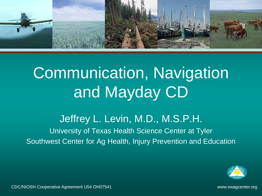

# Communication, Navigation and Mayday CD

#### Jeffrey L. Levin, M.D., M.S.P.H. University of Texas Health Science Center at Tyler Southwest Center for Ag Health, Injury Prevention and Education

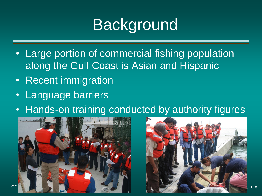# Background

- Large portion of commercial fishing population along the Gulf Coast is Asian and Hispanic
- Recent immigration
- Language barriers
- Hands-on training conducted by authority figures



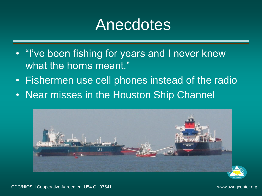## **Anecdotes**

- "I've been fishing for years and I never knew what the horns meant."
- Fishermen use cell phones instead of the radio
- Near misses in the Houston Ship Channel



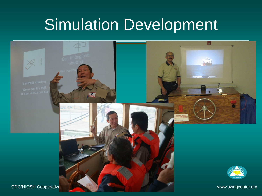## Simulation Development

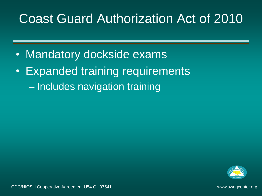#### Coast Guard Authorization Act of 2010

- Mandatory dockside exams
- Expanded training requirements – Includes navigation training

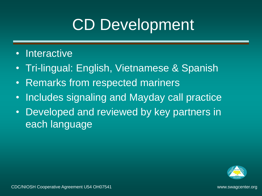# CD Development

#### • Interactive

- Tri-lingual: English, Vietnamese & Spanish
- Remarks from respected mariners
- Includes signaling and Mayday call practice
- Developed and reviewed by key partners in each language

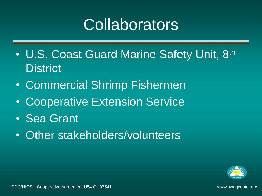# **Collaborators**

- U.S. Coast Guard Marine Safety Unit, 8<sup>th</sup> **District**
- Commercial Shrimp Fishermen
- Cooperative Extension Service
- Sea Grant
- Other stakeholders/volunteers

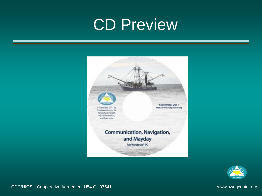# CD Preview